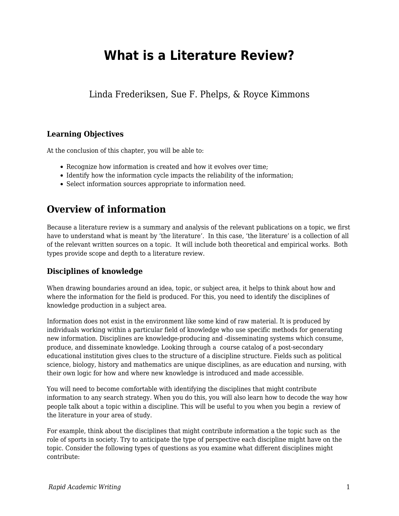# **What is a Literature Review?**

Linda Frederiksen, Sue F. Phelps, & Royce Kimmons

### **Learning Objectives**

At the conclusion of this chapter, you will be able to:

- Recognize how information is created and how it evolves over time:
- Identify how the information cycle impacts the reliability of the information;
- Select information sources appropriate to information need.

## **Overview of information**

Because a literature review is a summary and analysis of the relevant publications on a topic, we first have to understand what is meant by 'the literature'. In this case, 'the literature' is a collection of all of the relevant written sources on a topic. It will include both theoretical and empirical works. Both types provide scope and depth to a literature review.

### **Disciplines of knowledge**

When drawing boundaries around an idea, topic, or subject area, it helps to think about how and where the information for the field is produced. For this, you need to identify the disciplines of knowledge production in a subject area.

Information does not exist in the environment like some kind of raw material. It is produced by individuals working within a particular field of knowledge who use specific methods for generating new information. Disciplines are knowledge-producing and -disseminating systems which consume, produce, and disseminate knowledge. Looking through a course catalog of a post-secondary educational institution gives clues to the structure of a discipline structure. Fields such as political science, biology, history and mathematics are unique disciplines, as are education and nursing, with their own logic for how and where new knowledge is introduced and made accessible.

You will need to become comfortable with identifying the disciplines that might contribute information to any search strategy. When you do this, you will also learn how to decode the way how people talk about a topic within a discipline. This will be useful to you when you begin a review of the literature in your area of study.

For example, think about the disciplines that might contribute information a the topic such as the role of sports in society. Try to anticipate the type of perspective each discipline might have on the topic. Consider the following types of questions as you examine what different disciplines might contribute: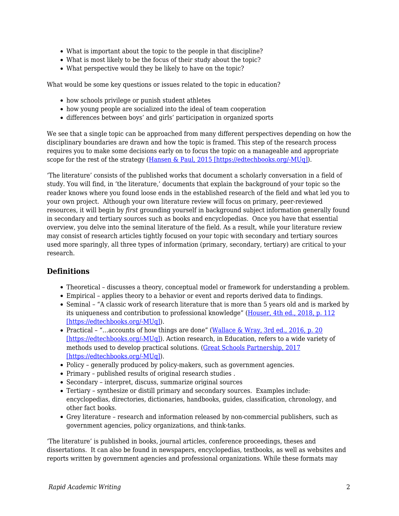- What is important about the topic to the people in that discipline?
- What is most likely to be the focus of their study about the topic?
- What perspective would they be likely to have on the topic?

What would be some key questions or issues related to the topic in education?

- how schools privilege or punish student athletes
- how young people are socialized into the ideal of team cooperation
- differences between boys' and girls' participation in organized sports

We see that a single topic can be approached from many different perspectives depending on how the disciplinary boundaries are drawn and how the topic is framed. This step of the research process requires you to make some decisions early on to focus the topic on a manageable and appropriate scope for the rest of the strategy [\(Hansen & Paul, 2015 \[https://edtechbooks.org/-MUq\]](https://edtechbooks.org/rapidwriting/lit_rev_conclusion/#ref2)).

'The literature' consists of the published works that document a scholarly conversation in a field of study. You will find, in 'the literature,' documents that explain the background of your topic so the reader knows where you found loose ends in the established research of the field and what led you to your own project. Although your own literature review will focus on primary, peer-reviewed resources, it will begin by *first* grounding yourself in background subject information generally found in secondary and tertiary sources such as books and encyclopedias. Once you have that essential overview, you delve into the seminal literature of the field. As a result, while your literature review may consist of research articles tightly focused on your topic with secondary and tertiary sources used more sparingly, all three types of information (primary, secondary, tertiary) are critical to your research.

### **Definitions**

- Theoretical discusses a theory, conceptual model or framework for understanding a problem.
- Empirical applies theory to a behavior or event and reports derived data to findings.
- Seminal "A classic work of research literature that is more than 5 years old and is marked by its uniqueness and contribution to professional knowledge" [\(Houser, 4th ed., 2018, p. 112](https://edtechbooks.org/rapidwriting/lit_rev_conclusion/#ref2) [\[https://edtechbooks.org/-MUq\]\)](https://edtechbooks.org/rapidwriting/lit_rev_conclusion/#ref2).
- Practical "... accounts of how things are done" ([Wallace & Wray, 3rd ed., 2016, p. 20](https://edtechbooks.org/rapidwriting/lit_rev_conclusion/#ref2) [\[https://edtechbooks.org/-MUq\]\)](https://edtechbooks.org/rapidwriting/lit_rev_conclusion/#ref2). Action research, in Education, refers to a wide variety of methods used to develop practical solutions. ([Great Schools Partnership, 2017](https://edtechbooks.org/rapidwriting/lit_rev_conclusion/#ref2) [\[https://edtechbooks.org/-MUq\]\)](https://edtechbooks.org/rapidwriting/lit_rev_conclusion/#ref2).
- Policy generally produced by policy-makers, such as government agencies.
- Primary published results of original research studies .
- Secondary interpret, discuss, summarize original sources
- Tertiary synthesize or distill primary and secondary sources. Examples include: encyclopedias, directories, dictionaries, handbooks, guides, classification, chronology, and other fact books.
- Grey literature research and information released by non-commercial publishers, such as government agencies, policy organizations, and think-tanks.

'The literature' is published in books, journal articles, conference proceedings, theses and dissertations. It can also be found in newspapers, encyclopedias, textbooks, as well as websites and reports written by government agencies and professional organizations. While these formats may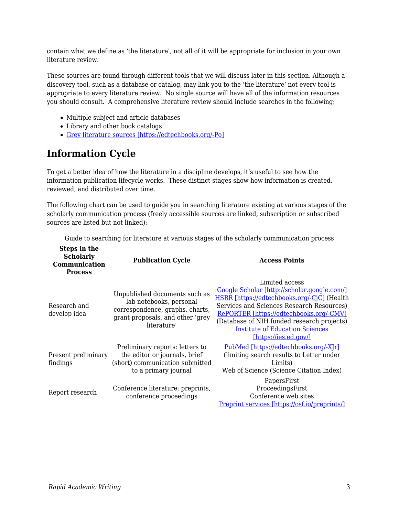contain what we define as 'the literature', not all of it will be appropriate for inclusion in your own literature review.

These sources are found through different tools that we will discuss later in this section. Although a discovery tool, such as a database or catalog, may link you to the 'the literature' not every tool is appropriate to every literature review. No single source will have all of the information resources you should consult. A comprehensive literature review should include searches in the following:

- Multiple subject and article databases
- Library and other book catalogs
- [Grey literature sources \[https://edtechbooks.org/-Po\]](http://hlwiki.slais.ubc.ca/index.php/Grey_literature)

## **Information Cycle**

To get a better idea of how the literature in a discipline develops, it's useful to see how the information publication lifecycle works. These distinct stages show how information is created, reviewed, and distributed over time.

The following chart can be used to guide you in searching literature existing at various stages of the scholarly communication process (freely accessible sources are linked, subscription or subscribed sources are listed but not linked):

| Steps in the<br><b>Scholarly</b><br>Communication<br><b>Process</b> | <b>Publication Cycle</b>                                                                                                                       | <b>Access Points</b>                                                                                                                                                                                                                                                                                                  |
|---------------------------------------------------------------------|------------------------------------------------------------------------------------------------------------------------------------------------|-----------------------------------------------------------------------------------------------------------------------------------------------------------------------------------------------------------------------------------------------------------------------------------------------------------------------|
| Research and<br>develop idea                                        | Unpublished documents such as<br>lab notebooks, personal<br>correspondence, graphs, charts,<br>grant proposals, and other 'grey<br>literature' | Limited access<br>Google Scholar [http://scholar.google.com/]<br>HSRR [https://edtechbooks.org/-CjC] (Health<br>Services and Sciences Research Resources)<br>RePORTER [https://edtechbooks.org/-CMV]<br>(Database of NIH funded research projects)<br><b>Institute of Education Sciences</b><br>[https://ies.ed.gov/] |
| Present preliminary<br>findings                                     | Preliminary reports: letters to<br>the editor or journals, brief<br>(short) communication submitted<br>to a primary journal                    | PubMed [https://edtechbooks.org/-X]r]<br>(limiting search results to Letter under<br>Limits)<br>Web of Science (Science Citation Index)                                                                                                                                                                               |
| Report research                                                     | Conference literature: preprints,<br>conference proceedings                                                                                    | PapersFirst<br>ProceedingsFirst<br>Conference web sites<br><u>Preprint services [https://osf.io/preprints/]</u>                                                                                                                                                                                                       |

Guide to searching for literature at various stages of the scholarly communication process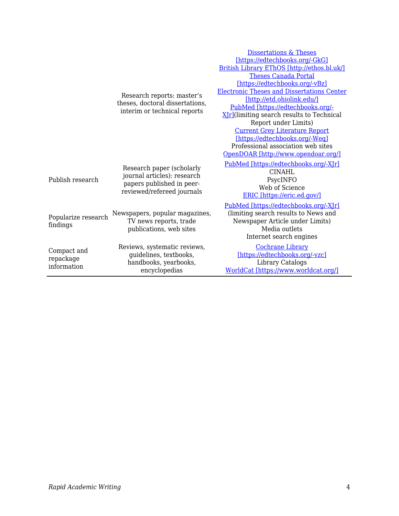|                                         |                                                                                                                     | <b>Dissertations &amp; Theses</b>                               |  |
|-----------------------------------------|---------------------------------------------------------------------------------------------------------------------|-----------------------------------------------------------------|--|
|                                         |                                                                                                                     | [https://edtechbooks.org/-GkG]                                  |  |
|                                         |                                                                                                                     | British Library EThOS [http://ethos.bl.uk/]                     |  |
|                                         | Research reports: master's<br>theses, doctoral dissertations,<br>interim or technical reports                       | <b>Theses Canada Portal</b>                                     |  |
|                                         |                                                                                                                     | [https://edtechbooks.org/-vBz]                                  |  |
|                                         |                                                                                                                     | <b>Electronic Theses and Dissertations Center</b>               |  |
|                                         |                                                                                                                     | [http://etd.ohiolink.edu/]                                      |  |
|                                         |                                                                                                                     | PubMed [https://edtechbooks.org/-                               |  |
|                                         |                                                                                                                     | XIr](limiting search results to Technical                       |  |
|                                         |                                                                                                                     | Report under Limits)                                            |  |
|                                         |                                                                                                                     | <b>Current Grey Literature Report</b>                           |  |
|                                         |                                                                                                                     | [https://edtechbooks.org/-Weq]                                  |  |
|                                         |                                                                                                                     | Professional association web sites                              |  |
|                                         |                                                                                                                     | OpenDOAR [http://www.opendoar.org/]                             |  |
| Publish research                        | Research paper (scholarly<br>journal articles): research<br>papers published in peer-<br>reviewed/refereed journals | PubMed [https://edtechbooks.org/-XJr]                           |  |
|                                         |                                                                                                                     | <b>CINAHL</b>                                                   |  |
|                                         |                                                                                                                     | PsycINFO                                                        |  |
|                                         |                                                                                                                     | Web of Science                                                  |  |
|                                         |                                                                                                                     | ERIC [https://eric.ed.gov/]                                     |  |
|                                         | Newspapers, popular magazines,                                                                                      | PubMed [https://edtechbooks.org/-XJr]                           |  |
| Popularize research<br>findings         |                                                                                                                     | (limiting search results to News and                            |  |
|                                         | TV news reports, trade                                                                                              | Newspaper Article under Limits)                                 |  |
|                                         | publications, web sites                                                                                             | Media outlets                                                   |  |
|                                         |                                                                                                                     | Internet search engines                                         |  |
| Compact and<br>repackage<br>information |                                                                                                                     | <b>Cochrane Library</b>                                         |  |
|                                         | Reviews, systematic reviews,<br>guidelines, textbooks,                                                              | [https://edtechbooks.org/-vzc]                                  |  |
|                                         |                                                                                                                     |                                                                 |  |
|                                         | handbooks, yearbooks,<br>encyclopedias                                                                              | <b>Library Catalogs</b><br>WorldCat [https://www.worldcat.org/] |  |
|                                         |                                                                                                                     |                                                                 |  |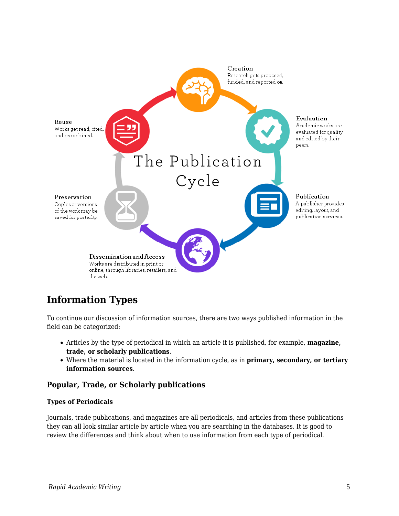

## **Information Types**

To continue our discussion of information sources, there are two ways published information in the field can be categorized:

- Articles by the type of periodical in which an article it is published, for example, **magazine, trade, or scholarly publications**.
- Where the material is located in the information cycle, as in **primary, secondary, or tertiary information sources**.

### **Popular, Trade, or Scholarly publications**

### **Types of Periodicals**

Journals, trade publications, and magazines are all periodicals, and articles from these publications they can all look similar article by article when you are searching in the databases. It is good to review the differences and think about when to use information from each type of periodical.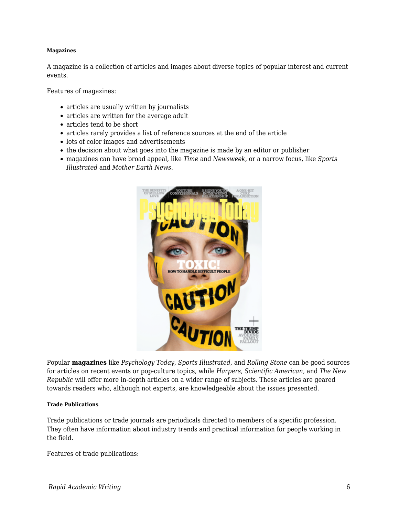#### **Magazines**

A magazine is a collection of articles and images about diverse topics of popular interest and current events.

Features of magazines:

- articles are usually written by journalists
- articles are written for the average adult
- articles tend to be short
- articles rarely provides a list of reference sources at the end of the article
- lots of color images and advertisements
- the decision about what goes into the magazine is made by an editor or publisher
- magazines can have broad appeal, like *Time* and *Newsweek*, or a narrow focus, like *Sports Illustrated* and *Mother Earth News*.



Popular **magazines** like *Psychology Today*, *Sports Illustrated*, and *Rolling Stone* can be good sources for articles on recent events or pop-culture topics, while *Harpers*, *Scientific American*, and *The New Republic* will offer more in-depth articles on a wider range of subjects. These articles are geared towards readers who, although not experts, are knowledgeable about the issues presented.

#### **Trade Publications**

Trade publications or trade journals are periodicals directed to members of a specific profession. They often have information about industry trends and practical information for people working in the field.

Features of trade publications: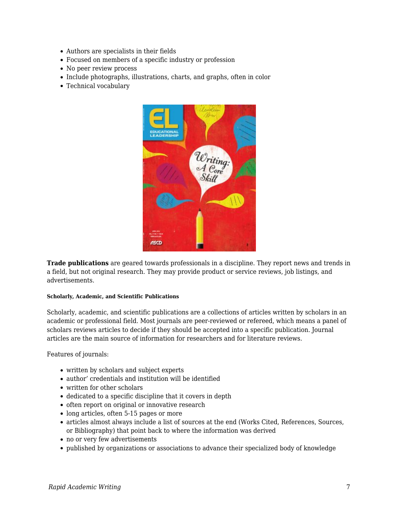- Authors are specialists in their fields
- Focused on members of a specific industry or profession
- No peer review process
- Include photographs, illustrations, charts, and graphs, often in color
- Technical vocabulary



**Trade publications** are geared towards professionals in a discipline. They report news and trends in a field, but not original research. They may provide product or service reviews, job listings, and advertisements.

#### **Scholarly, Academic, and Scientific Publications**

Scholarly, academic, and scientific publications are a collections of articles written by scholars in an academic or professional field. Most journals are peer-reviewed or refereed, which means a panel of scholars reviews articles to decide if they should be accepted into a specific publication. Journal articles are the main source of information for researchers and for literature reviews.

Features of journals:

- written by scholars and subject experts
- author' credentials and institution will be identified
- written for other scholars
- dedicated to a specific discipline that it covers in depth
- often report on original or innovative research
- long articles, often 5-15 pages or more
- articles almost always include a list of sources at the end (Works Cited, References, Sources, or Bibliography) that point back to where the information was derived
- no or very few advertisements
- published by organizations or associations to advance their specialized body of knowledge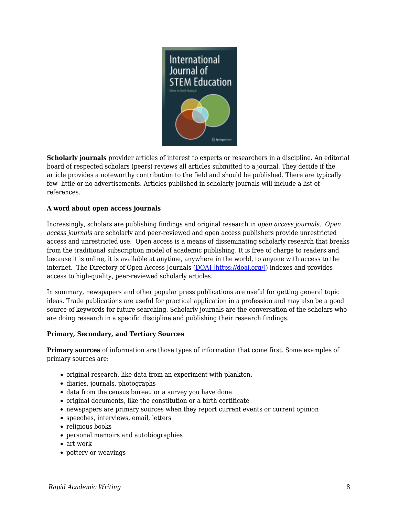

**Scholarly journals** provider articles of interest to experts or researchers in a discipline. An editorial board of respected scholars (peers) reviews all articles submitted to a journal. They decide if the article provides a noteworthy contribution to the field and should be published. There are typically few little or no advertisements. Articles published in scholarly journals will include a list of references.

### **A word about open access journals**

Increasingly, scholars are publishing findings and original research in *open access journals*. *Open access journals* are scholarly and peer-reviewed and open access publishers provide unrestricted access and unrestricted use. Open access is a means of disseminating scholarly research that breaks from the traditional subscription model of academic publishing. It is free of charge to readers and because it is online, it is available at anytime, anywhere in the world, to anyone with access to the internet. The Directory of Open Access Journals [\(DOAJ \[https://doaj.org/\]\)](https://doaj.org/) indexes and provides access to high-quality, peer-reviewed scholarly articles.

In summary, newspapers and other popular press publications are useful for getting general topic ideas. Trade publications are useful for practical application in a profession and may also be a good source of keywords for future searching. Scholarly journals are the conversation of the scholars who are doing research in a specific discipline and publishing their research findings.

#### **Primary, Secondary, and Tertiary Sources**

**Primary sources** of information are those types of information that come first. Some examples of primary sources are:

- original research, like data from an experiment with plankton.
- diaries, journals, photographs
- data from the census bureau or a survey you have done
- original documents, like the constitution or a birth certificate
- newspapers are primary sources when they report current events or current opinion
- speeches, interviews, email, letters
- religious books
- personal memoirs and autobiographies
- art work
- pottery or weavings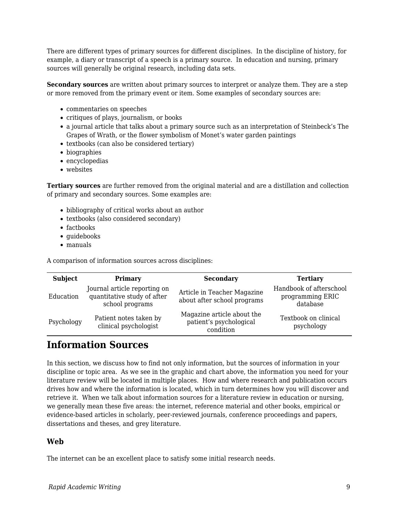There are different types of primary sources for different disciplines. In the discipline of history, for example, a diary or transcript of a speech is a primary source. In education and nursing, primary sources will generally be original research, including data sets.

**Secondary sources** are written about primary sources to interpret or analyze them. They are a step or more removed from the primary event or item. Some examples of secondary sources are:

- commentaries on speeches
- critiques of plays, journalism, or books
- a journal article that talks about a primary source such as an interpretation of Steinbeck's The Grapes of Wrath, or the flower symbolism of Monet's water garden paintings
- textbooks (can also be considered tertiary)
- biographies
- encyclopedias
- websites

**Tertiary sources** are further removed from the original material and are a distillation and collection of primary and secondary sources. Some examples are:

- bibliography of critical works about an author
- textbooks (also considered secondary)
- factbooks
- quidebooks
- manuals

A comparison of information sources across disciplines:

| <b>Subject</b> | Primary                                                                        | <b>Secondary</b>                                                   | <b>Tertiary</b>                                         |
|----------------|--------------------------------------------------------------------------------|--------------------------------------------------------------------|---------------------------------------------------------|
| Education      | Journal article reporting on<br>quantitative study of after<br>school programs | Article in Teacher Magazine<br>about after school programs         | Handbook of afterschool<br>programming ERIC<br>database |
| Psychology     | Patient notes taken by<br>clinical psychologist                                | Magazine article about the<br>patient's psychological<br>condition | Textbook on clinical<br>psychology                      |

## **Information Sources**

In this section, we discuss how to find not only information, but the sources of information in your discipline or topic area. As we see in the graphic and chart above, the information you need for your literature review will be located in multiple places. How and where research and publication occurs drives how and where the information is located, which in turn determines how you will discover and retrieve it. When we talk about information sources for a literature review in education or nursing, we generally mean these five areas: the internet, reference material and other books, empirical or evidence-based articles in scholarly, peer-reviewed journals, conference proceedings and papers, dissertations and theses, and grey literature.

### **Web**

The internet can be an excellent place to satisfy some initial research needs.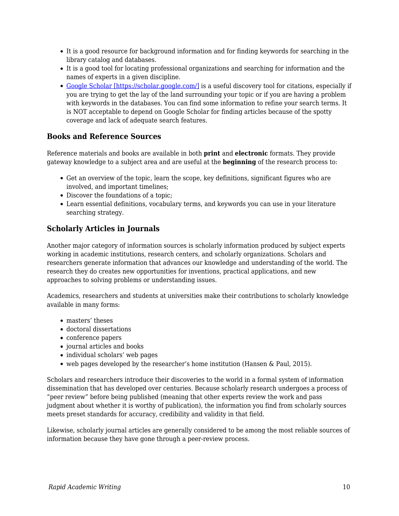- It is a good resource for background information and for finding keywords for searching in the library catalog and databases.
- It is a good tool for locating professional organizations and searching for information and the names of experts in a given discipline.
- [Google Scholar \[https://scholar.google.com/\]](https://scholar.google.com/) is a useful discovery tool for citations, especially if you are trying to get the lay of the land surrounding your topic or if you are having a problem with keywords in the databases. You can find some information to refine your search terms. It is NOT acceptable to depend on Google Scholar for finding articles because of the spotty coverage and lack of adequate search features.

### **Books and Reference Sources**

Reference materials and books are available in both **print** and **electronic** formats. They provide gateway knowledge to a subject area and are useful at the **beginning** of the research process to:

- Get an overview of the topic, learn the scope, key definitions, significant figures who are involved, and important timelines;
- Discover the foundations of a topic;
- Learn essential definitions, vocabulary terms, and keywords you can use in your literature searching strategy.

### **Scholarly Articles in Journals**

Another major category of information sources is scholarly information produced by subject experts working in academic institutions, research centers, and scholarly organizations. Scholars and researchers generate information that advances our knowledge and understanding of the world. The research they do creates new opportunities for inventions, practical applications, and new approaches to solving problems or understanding issues.

Academics, researchers and students at universities make their contributions to scholarly knowledge available in many forms:

- masters' theses
- doctoral dissertations
- conference papers
- journal articles and books
- individual scholars' web pages
- web pages developed by the researcher's home institution (Hansen & Paul, 2015).

Scholars and researchers introduce their discoveries to the world in a formal system of information dissemination that has developed over centuries. Because scholarly research undergoes a process of "peer review" before being published (meaning that other experts review the work and pass judgment about whether it is worthy of publication), the information you find from scholarly sources meets preset standards for accuracy, credibility and validity in that field.

Likewise, scholarly journal articles are generally considered to be among the most reliable sources of information because they have gone through a peer-review process.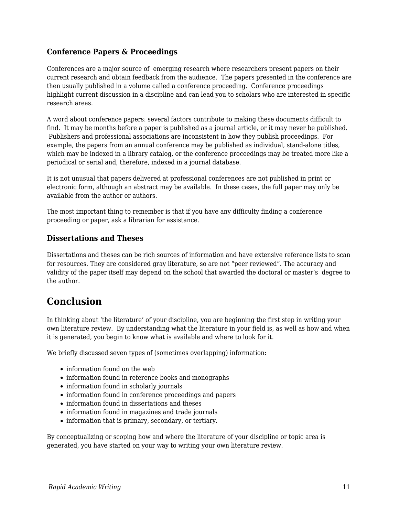### **Conference Papers & Proceedings**

Conferences are a major source of emerging research where researchers present papers on their current research and obtain feedback from the audience. The papers presented in the conference are then usually published in a volume called a conference proceeding. Conference proceedings highlight current discussion in a discipline and can lead you to scholars who are interested in specific research areas.

A word about conference papers: several factors contribute to making these documents difficult to find. It may be months before a paper is published as a journal article, or it may never be published. Publishers and professional associations are inconsistent in how they publish proceedings. For example, the papers from an annual conference may be published as individual, stand-alone titles, which may be indexed in a library catalog, or the conference proceedings may be treated more like a periodical or serial and, therefore, indexed in a journal database.

It is not unusual that papers delivered at professional conferences are not published in print or electronic form, although an abstract may be available. In these cases, the full paper may only be available from the author or authors.

The most important thing to remember is that if you have any difficulty finding a conference proceeding or paper, ask a librarian for assistance.

### **Dissertations and Theses**

Dissertations and theses can be rich sources of information and have extensive reference lists to scan for resources. They are considered gray literature, so are not "peer reviewed". The accuracy and validity of the paper itself may depend on the school that awarded the doctoral or master's degree to the author.

## **Conclusion**

In thinking about 'the literature' of your discipline, you are beginning the first step in writing your own literature review. By understanding what the literature in your field is, as well as how and when it is generated, you begin to know what is available and where to look for it.

We briefly discussed seven types of (sometimes overlapping) information:

- information found on the web
- information found in reference books and monographs
- information found in scholarly journals
- information found in conference proceedings and papers
- information found in dissertations and theses
- information found in magazines and trade journals
- information that is primary, secondary, or tertiary.

By conceptualizing or scoping how and where the literature of your discipline or topic area is generated, you have started on your way to writing your own literature review.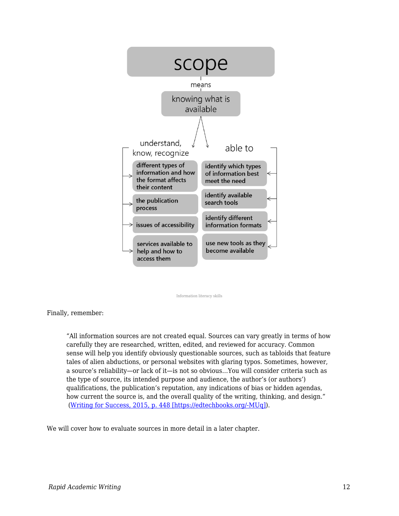

Information literacy skills

Finally, remember:

"All information sources are not created equal. Sources can vary greatly in terms of how carefully they are researched, written, edited, and reviewed for accuracy. Common sense will help you identify obviously questionable sources, such as tabloids that feature tales of alien abductions, or personal websites with glaring typos. Sometimes, however, a source's reliability—or lack of it—is not so obvious…You will consider criteria such as the type of source, its intended purpose and audience, the author's (or authors') qualifications, the publication's reputation, any indications of bias or hidden agendas, how current the source is, and the overall quality of the writing, thinking, and design." [\(Writing for Success, 2015, p. 448 \[https://edtechbooks.org/-MUq\]\)](https://edtechbooks.org/rapidwriting/lit_rev_conclusion/#ref2).

We will cover how to evaluate sources in more detail in a later chapter.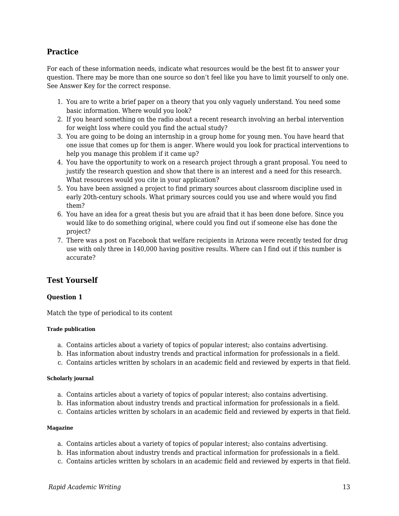### **Practice**

For each of these information needs, indicate what resources would be the best fit to answer your question. There may be more than one source so don't feel like you have to limit yourself to only one. See Answer Key for the correct response.

- 1. You are to write a brief paper on a theory that you only vaguely understand. You need some basic information. Where would you look?
- 2. If you heard something on the radio about a recent research involving an herbal intervention for weight loss where could you find the actual study?
- 3. You are going to be doing an internship in a group home for young men. You have heard that one issue that comes up for them is anger. Where would you look for practical interventions to help you manage this problem if it came up?
- 4. You have the opportunity to work on a research project through a grant proposal. You need to justify the research question and show that there is an interest and a need for this research. What resources would you cite in your application?
- 5. You have been assigned a project to find primary sources about classroom discipline used in early 20th-century schools. What primary sources could you use and where would you find them?
- 6. You have an idea for a great thesis but you are afraid that it has been done before. Since you would like to do something original, where could you find out if someone else has done the project?
- 7. There was a post on Facebook that welfare recipients in Arizona were recently tested for drug use with only three in 140,000 having positive results. Where can I find out if this number is accurate?

### **Test Yourself**

### **Question 1**

Match the type of periodical to its content

#### **Trade publication**

- a. Contains articles about a variety of topics of popular interest; also contains advertising.
- b. Has information about industry trends and practical information for professionals in a field.
- c. Contains articles written by scholars in an academic field and reviewed by experts in that field.

#### **Scholarly journal**

- a. Contains articles about a variety of topics of popular interest; also contains advertising.
- b. Has information about industry trends and practical information for professionals in a field.
- c. Contains articles written by scholars in an academic field and reviewed by experts in that field.

#### **Magazine**

- a. Contains articles about a variety of topics of popular interest; also contains advertising.
- b. Has information about industry trends and practical information for professionals in a field.
- c. Contains articles written by scholars in an academic field and reviewed by experts in that field.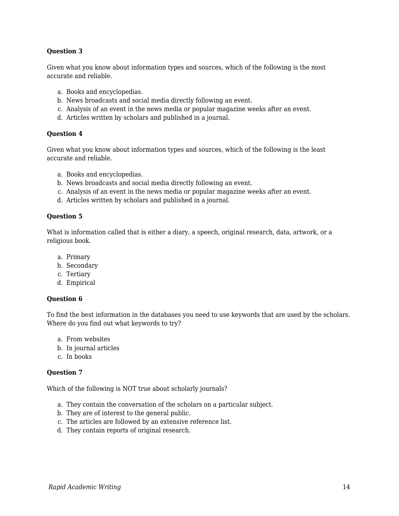### **Question 3**

Given what you know about information types and sources, which of the following is the most accurate and reliable.

- a. Books and encyclopedias.
- b. News broadcasts and social media directly following an event.
- c. Analysis of an event in the news media or popular magazine weeks after an event.
- d. Articles written by scholars and published in a journal.

#### **Question 4**

Given what you know about information types and sources, which of the following is the least accurate and reliable.

- a. Books and encyclopedias.
- b. News broadcasts and social media directly following an event.
- c. Analysis of an event in the news media or popular magazine weeks after an event.
- d. Articles written by scholars and published in a journal.

#### **Question 5**

What is information called that is either a diary, a speech, original research, data, artwork, or a religious book.

- a. Primary
- b. Secondary
- c. Tertiary
- d. Empirical

#### **Question 6**

To find the best information in the databases you need to use keywords that are used by the scholars. Where do you find out what keywords to try?

- a. From websites
- b. In journal articles
- c. In books

#### **Question 7**

Which of the following is NOT true about scholarly journals?

- a. They contain the conversation of the scholars on a particular subject.
- b. They are of interest to the general public.
- c. The articles are followed by an extensive reference list.
- d. They contain reports of original research.